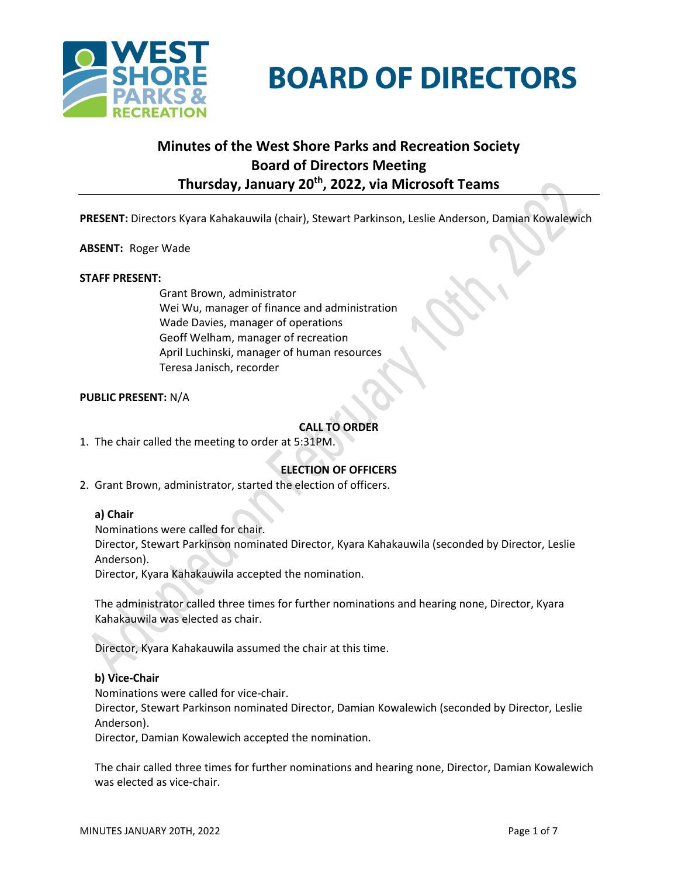

# **BOARD OF DIRECTORS**

# **Minutes of the West Shore Parks and Recreation Society Board of Directors Meeting Thursday, January 20th , 2022, via Microsoft Teams**

**PRESENT:** Directors Kyara Kahakauwila (chair), Stewart Parkinson, Leslie Anderson, Damian Kowalewich

# **ABSENT:** Roger Wade

#### **STAFF PRESENT:**

Grant Brown, administrator Wei Wu, manager of finance and administration Wade Davies, manager of operations Geoff Welham, manager of recreation April Luchinski, manager of human resources Teresa Janisch, recorder

# **PUBLIC PRESENT:** N/A

# **CALL TO ORDER**

1. The chair called the meeting to order at 5:31PM.

# **ELECTION OF OFFICERS**

2. Grant Brown, administrator, started the election of officers.

#### **a) Chair**

Nominations were called for chair.

Director, Stewart Parkinson nominated Director, Kyara Kahakauwila (seconded by Director, Leslie Anderson).

Director, Kyara Kahakauwila accepted the nomination.

The administrator called three times for further nominations and hearing none, Director, Kyara Kahakauwila was elected as chair.

Director, Kyara Kahakauwila assumed the chair at this time.

#### **b) Vice-Chair**

Nominations were called for vice-chair.

Director, Stewart Parkinson nominated Director, Damian Kowalewich (seconded by Director, Leslie Anderson).

Director, Damian Kowalewich accepted the nomination.

The chair called three times for further nominations and hearing none, Director, Damian Kowalewich was elected as vice-chair.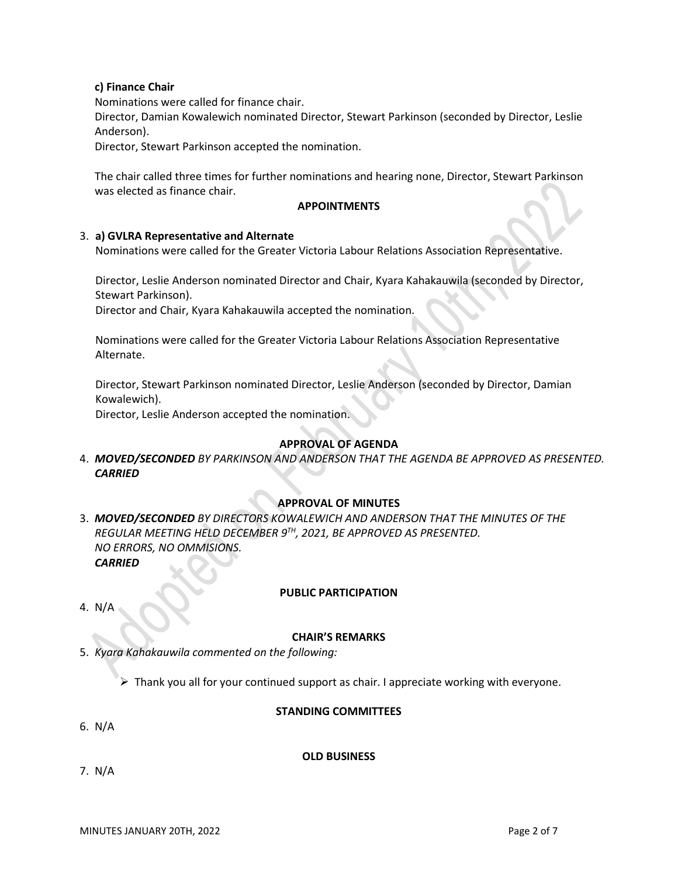# **c) Finance Chair**

Nominations were called for finance chair.

Director, Damian Kowalewich nominated Director, Stewart Parkinson (seconded by Director, Leslie Anderson).

Director, Stewart Parkinson accepted the nomination.

The chair called three times for further nominations and hearing none, Director, Stewart Parkinson was elected as finance chair.

# **APPOINTMENTS**

#### 3. **a) GVLRA Representative and Alternate**

Nominations were called for the Greater Victoria Labour Relations Association Representative.

Director, Leslie Anderson nominated Director and Chair, Kyara Kahakauwila (seconded by Director, Stewart Parkinson).

Director and Chair, Kyara Kahakauwila accepted the nomination.

Nominations were called for the Greater Victoria Labour Relations Association Representative Alternate.

Director, Stewart Parkinson nominated Director, Leslie Anderson (seconded by Director, Damian Kowalewich).

Director, Leslie Anderson accepted the nomination.

# **APPROVAL OF AGENDA**

4. *MOVED/SECONDED BY PARKINSON AND ANDERSON THAT THE AGENDA BE APPROVED AS PRESENTED. CARRIED*

# **APPROVAL OF MINUTES**

3. *MOVED/SECONDED BY DIRECTORS KOWALEWICH AND ANDERSON THAT THE MINUTES OF THE REGULAR MEETING HELD DECEMBER 9TH, 2021, BE APPROVED AS PRESENTED. NO ERRORS, NO OMMISIONS. CARRIED*

#### **PUBLIC PARTICIPATION**

4. N/A

# **CHAIR'S REMARKS**

5. *Kyara Kahakauwila commented on the following:*

 $\triangleright$  Thank you all for your continued support as chair. I appreciate working with everyone.

# **STANDING COMMITTEES**

6. N/A

#### **OLD BUSINESS**

7. N/A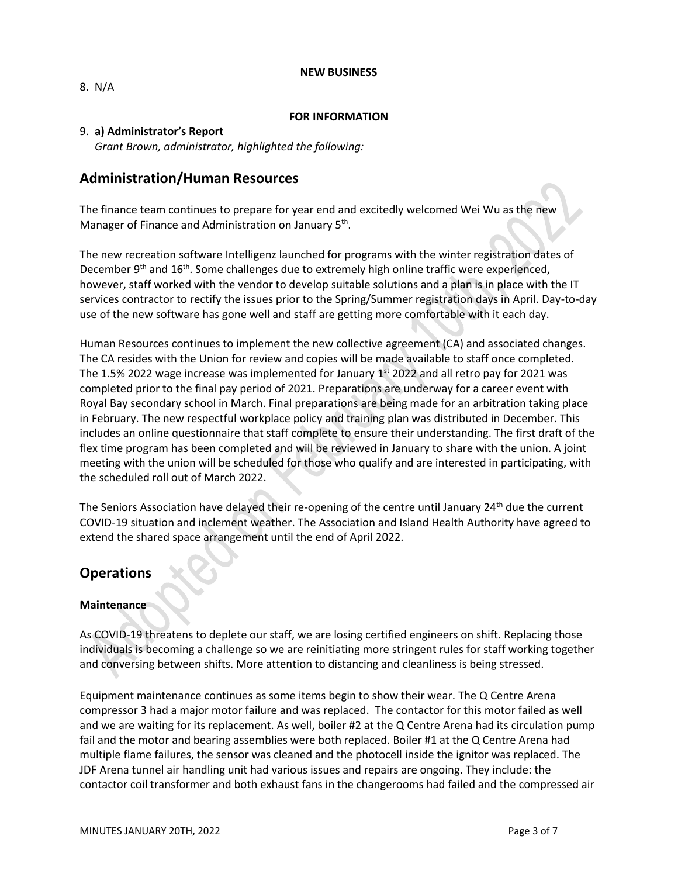#### **NEW BUSINESS**

8.N/A

# **FOR INFORMATION**

# 9. **a) Administrator's Report**

*Grant Brown, administrator, highlighted the following:*

# **Administration/Human Resources**

The finance team continues to prepare for year end and excitedly welcomed Wei Wu as the new Manager of Finance and Administration on January 5<sup>th</sup>.

The new recreation software Intelligenz launched for programs with the winter registration dates of December  $9<sup>th</sup>$  and  $16<sup>th</sup>$ . Some challenges due to extremely high online traffic were experienced, however, staff worked with the vendor to develop suitable solutions and a plan is in place with the IT services contractor to rectify the issues prior to the Spring/Summer registration days in April. Day-to-day use of the new software has gone well and staff are getting more comfortable with it each day.

Human Resources continues to implement the new collective agreement (CA) and associated changes. The CA resides with the Union for review and copies will be made available to staff once completed. The 1.5% 2022 wage increase was implemented for January  $1^{st}$  2022 and all retro pay for 2021 was completed prior to the final pay period of 2021. Preparations are underway for a career event with Royal Bay secondary school in March. Final preparations are being made for an arbitration taking place in February. The new respectful workplace policy and training plan was distributed in December. This includes an online questionnaire that staff complete to ensure their understanding. The first draft of the flex time program has been completed and will be reviewed in January to share with the union. A joint meeting with the union will be scheduled for those who qualify and are interested in participating, with the scheduled roll out of March 2022.

The Seniors Association have delayed their re-opening of the centre until January 24<sup>th</sup> due the current COVID-19 situation and inclement weather. The Association and Island Health Authority have agreed to extend the shared space arrangement until the end of April 2022.

# **Operations**

# **Maintenance**

As COVID-19 threatens to deplete our staff, we are losing certified engineers on shift. Replacing those individuals is becoming a challenge so we are reinitiating more stringent rules for staff working together and conversing between shifts. More attention to distancing and cleanliness is being stressed.

Equipment maintenance continues as some items begin to show their wear. The Q Centre Arena compressor 3 had a major motor failure and was replaced. The contactor for this motor failed as well and we are waiting for its replacement. As well, boiler #2 at the Q Centre Arena had its circulation pump fail and the motor and bearing assemblies were both replaced. Boiler #1 at the Q Centre Arena had multiple flame failures, the sensor was cleaned and the photocell inside the ignitor was replaced. The JDF Arena tunnel air handling unit had various issues and repairs are ongoing. They include: the contactor coil transformer and both exhaust fans in the changerooms had failed and the compressed air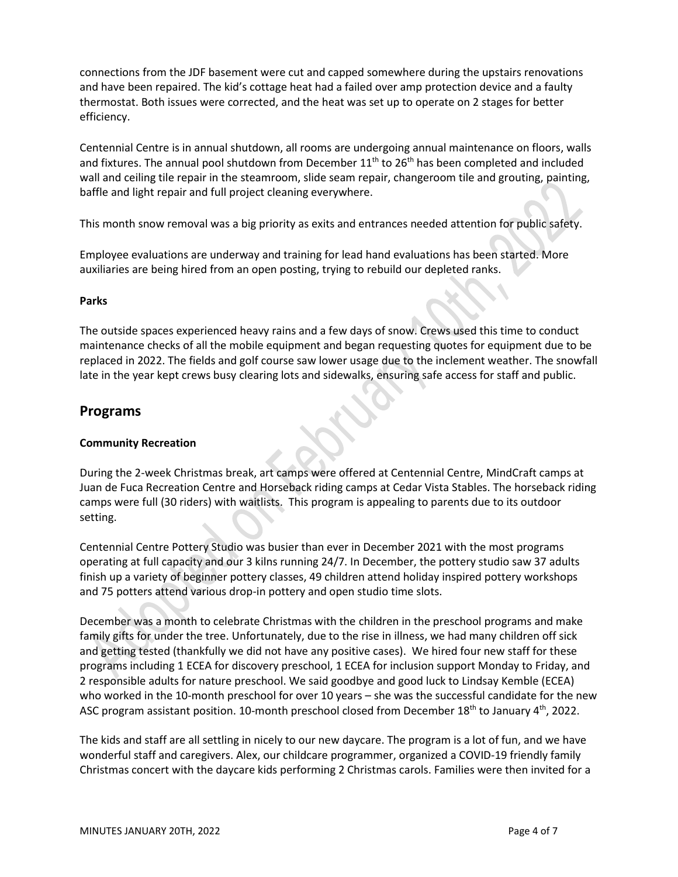connections from the JDF basement were cut and capped somewhere during the upstairs renovations and have been repaired. The kid's cottage heat had a failed over amp protection device and a faulty thermostat. Both issues were corrected, and the heat was set up to operate on 2 stages for better efficiency.

Centennial Centre is in annual shutdown, all rooms are undergoing annual maintenance on floors, walls and fixtures. The annual pool shutdown from December 11<sup>th</sup> to 26<sup>th</sup> has been completed and included wall and ceiling tile repair in the steamroom, slide seam repair, changeroom tile and grouting, painting, baffle and light repair and full project cleaning everywhere.

This month snow removal was a big priority as exits and entrances needed attention for public safety.

Employee evaluations are underway and training for lead hand evaluations has been started. More auxiliaries are being hired from an open posting, trying to rebuild our depleted ranks.

# **Parks**

The outside spaces experienced heavy rains and a few days of snow. Crews used this time to conduct maintenance checks of all the mobile equipment and began requesting quotes for equipment due to be replaced in 2022. The fields and golf course saw lower usage due to the inclement weather. The snowfall late in the year kept crews busy clearing lots and sidewalks, ensuring safe access for staff and public.

# **Programs**

# **Community Recreation**

During the 2-week Christmas break, art camps were offered at Centennial Centre, MindCraft camps at Juan de Fuca Recreation Centre and Horseback riding camps at Cedar Vista Stables. The horseback riding camps were full (30 riders) with waitlists. This program is appealing to parents due to its outdoor setting.

Centennial Centre Pottery Studio was busier than ever in December 2021 with the most programs operating at full capacity and our 3 kilns running 24/7. In December, the pottery studio saw 37 adults finish up a variety of beginner pottery classes, 49 children attend holiday inspired pottery workshops and 75 potters attend various drop-in pottery and open studio time slots.

December was a month to celebrate Christmas with the children in the preschool programs and make family gifts for under the tree. Unfortunately, due to the rise in illness, we had many children off sick and getting tested (thankfully we did not have any positive cases). We hired four new staff for these programs including 1 ECEA for discovery preschool, 1 ECEA for inclusion support Monday to Friday, and 2 responsible adults for nature preschool. We said goodbye and good luck to Lindsay Kemble (ECEA) who worked in the 10-month preschool for over 10 years – she was the successful candidate for the new ASC program assistant position. 10-month preschool closed from December 18<sup>th</sup> to January 4<sup>th</sup>, 2022.

The kids and staff are all settling in nicely to our new daycare. The program is a lot of fun, and we have wonderful staff and caregivers. Alex, our childcare programmer, organized a COVID-19 friendly family Christmas concert with the daycare kids performing 2 Christmas carols. Families were then invited for a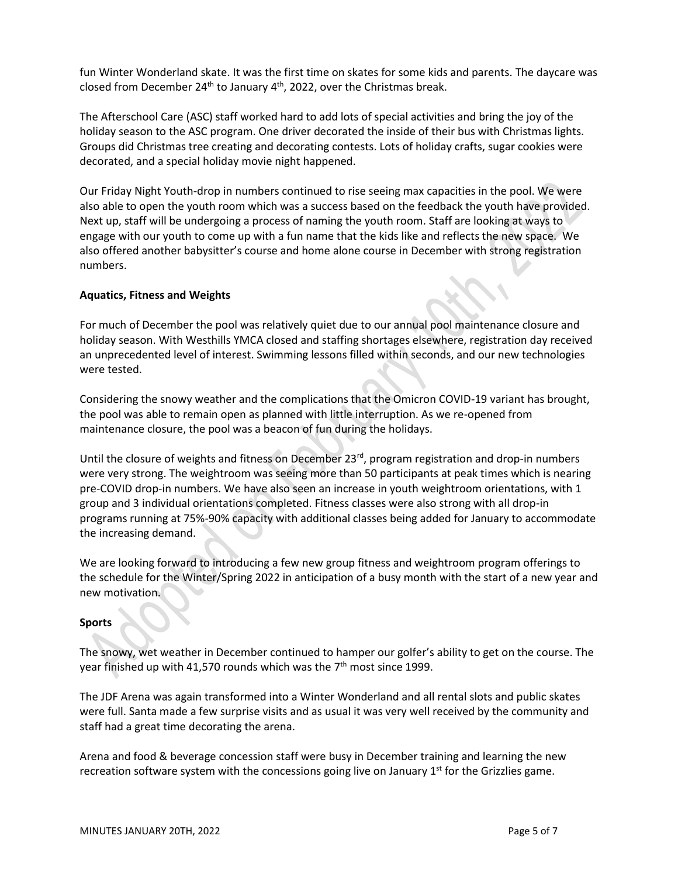fun Winter Wonderland skate. It was the first time on skates for some kids and parents. The daycare was closed from December 24<sup>th</sup> to January 4<sup>th</sup>, 2022, over the Christmas break.

The Afterschool Care (ASC) staff worked hard to add lots of special activities and bring the joy of the holiday season to the ASC program. One driver decorated the inside of their bus with Christmas lights. Groups did Christmas tree creating and decorating contests. Lots of holiday crafts, sugar cookies were decorated, and a special holiday movie night happened.

Our Friday Night Youth-drop in numbers continued to rise seeing max capacities in the pool. We were also able to open the youth room which was a success based on the feedback the youth have provided. Next up, staff will be undergoing a process of naming the youth room. Staff are looking at ways to engage with our youth to come up with a fun name that the kids like and reflects the new space. We also offered another babysitter's course and home alone course in December with strong registration numbers.

# **Aquatics, Fitness and Weights**

For much of December the pool was relatively quiet due to our annual pool maintenance closure and holiday season. With Westhills YMCA closed and staffing shortages elsewhere, registration day received an unprecedented level of interest. Swimming lessons filled within seconds, and our new technologies were tested.

Considering the snowy weather and the complications that the Omicron COVID-19 variant has brought, the pool was able to remain open as planned with little interruption. As we re-opened from maintenance closure, the pool was a beacon of fun during the holidays.

Until the closure of weights and fitness on December 23<sup>rd</sup>, program registration and drop-in numbers were very strong. The weightroom was seeing more than 50 participants at peak times which is nearing pre-COVID drop-in numbers. We have also seen an increase in youth weightroom orientations, with 1 group and 3 individual orientations completed. Fitness classes were also strong with all drop-in programs running at 75%-90% capacity with additional classes being added for January to accommodate the increasing demand.

We are looking forward to introducing a few new group fitness and weightroom program offerings to the schedule for the Winter/Spring 2022 in anticipation of a busy month with the start of a new year and new motivation.

# **Sports**

The snowy, wet weather in December continued to hamper our golfer's ability to get on the course. The year finished up with 41,570 rounds which was the  $7<sup>th</sup>$  most since 1999.

The JDF Arena was again transformed into a Winter Wonderland and all rental slots and public skates were full. Santa made a few surprise visits and as usual it was very well received by the community and staff had a great time decorating the arena.

Arena and food & beverage concession staff were busy in December training and learning the new recreation software system with the concessions going live on January 1<sup>st</sup> for the Grizzlies game.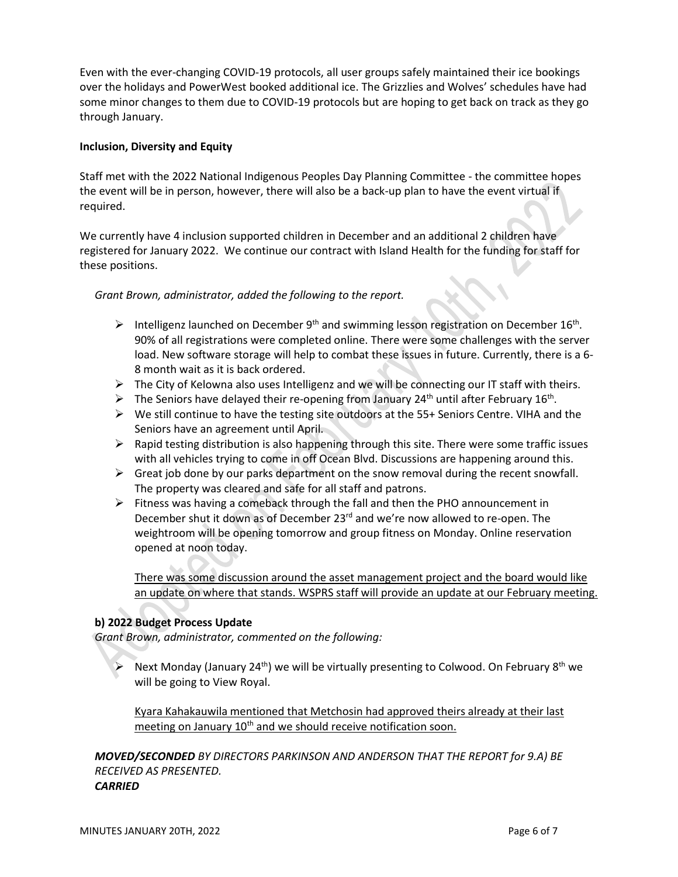Even with the ever-changing COVID-19 protocols, all user groups safely maintained their ice bookings over the holidays and PowerWest booked additional ice. The Grizzlies and Wolves' schedules have had some minor changes to them due to COVID-19 protocols but are hoping to get back on track as they go through January.

# **Inclusion, Diversity and Equity**

Staff met with the 2022 National Indigenous Peoples Day Planning Committee - the committee hopes the event will be in person, however, there will also be a back-up plan to have the event virtual if required.

We currently have 4 inclusion supported children in December and an additional 2 children have registered for January 2022. We continue our contract with Island Health for the funding for staff for these positions.

# *Grant Brown, administrator, added the following to the report.*

- $\triangleright$  Intelligenz launched on December 9<sup>th</sup> and swimming lesson registration on December 16<sup>th</sup>. 90% of all registrations were completed online. There were some challenges with the server load. New software storage will help to combat these issues in future. Currently, there is a 6- 8 month wait as it is back ordered.
- $\triangleright$  The City of Kelowna also uses Intelligenz and we will be connecting our IT staff with theirs.
- $\triangleright$  The Seniors have delayed their re-opening from January 24<sup>th</sup> until after February 16<sup>th</sup>.
- ➢ We still continue to have the testing site outdoors at the 55+ Seniors Centre. VIHA and the Seniors have an agreement until April.
- $\triangleright$  Rapid testing distribution is also happening through this site. There were some traffic issues with all vehicles trying to come in off Ocean Blvd. Discussions are happening around this.
- $\triangleright$  Great job done by our parks department on the snow removal during the recent snowfall. The property was cleared and safe for all staff and patrons.
- $\triangleright$  Fitness was having a comeback through the fall and then the PHO announcement in December shut it down as of December 23<sup>rd</sup> and we're now allowed to re-open. The weightroom will be opening tomorrow and group fitness on Monday. Online reservation opened at noon today.

There was some discussion around the asset management project and the board would like an update on where that stands. WSPRS staff will provide an update at our February meeting.

# **b) 2022 Budget Process Update**

*Grant Brown, administrator, commented on the following:*

 $\triangleright$  Next Monday (January 24<sup>th</sup>) we will be virtually presenting to Colwood. On February 8<sup>th</sup> we will be going to View Royal.

Kyara Kahakauwila mentioned that Metchosin had approved theirs already at their last meeting on January 10<sup>th</sup> and we should receive notification soon.

*MOVED/SECONDED BY DIRECTORS PARKINSON AND ANDERSON THAT THE REPORT for 9.A) BE RECEIVED AS PRESENTED. CARRIED*